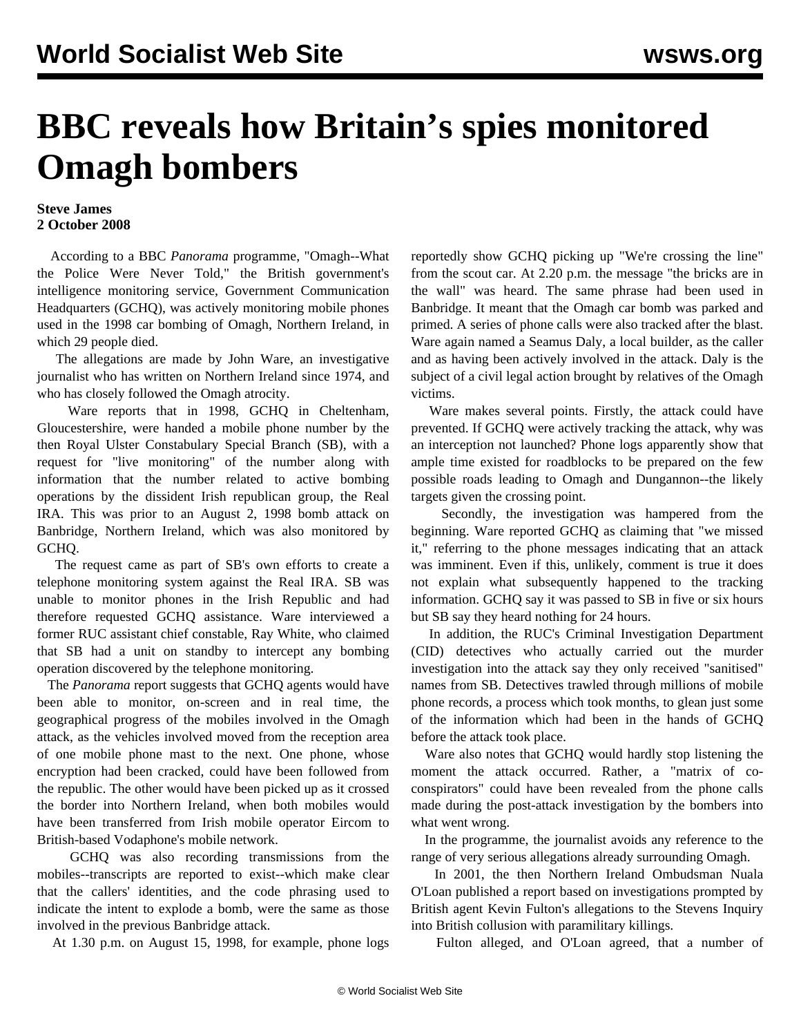## **BBC reveals how Britain's spies monitored Omagh bombers**

## **Steve James 2 October 2008**

 According to a BBC *Panorama* programme, "Omagh--What the Police Were Never Told," the British government's intelligence monitoring service, Government Communication Headquarters (GCHQ), was actively monitoring mobile phones used in the 1998 car bombing of Omagh, Northern Ireland, in which 29 people died.

 The allegations are made by John Ware, an investigative journalist who has written on Northern Ireland since 1974, and who has closely followed the Omagh atrocity.

 Ware reports that in 1998, GCHQ in Cheltenham, Gloucestershire, were handed a mobile phone number by the then Royal Ulster Constabulary Special Branch (SB), with a request for "live monitoring" of the number along with information that the number related to active bombing operations by the dissident Irish republican group, the Real IRA. This was prior to an August 2, 1998 bomb attack on Banbridge, Northern Ireland, which was also monitored by GCHQ.

 The request came as part of SB's own efforts to create a telephone monitoring system against the Real IRA. SB was unable to monitor phones in the Irish Republic and had therefore requested GCHQ assistance. Ware interviewed a former RUC assistant chief constable, Ray White, who claimed that SB had a unit on standby to intercept any bombing operation discovered by the telephone monitoring.

 The *Panorama* report suggests that GCHQ agents would have been able to monitor, on-screen and in real time, the geographical progress of the mobiles involved in the Omagh attack, as the vehicles involved moved from the reception area of one mobile phone mast to the next. One phone, whose encryption had been cracked, could have been followed from the republic. The other would have been picked up as it crossed the border into Northern Ireland, when both mobiles would have been transferred from Irish mobile operator Eircom to British-based Vodaphone's mobile network.

 GCHQ was also recording transmissions from the mobiles--transcripts are reported to exist--which make clear that the callers' identities, and the code phrasing used to indicate the intent to explode a bomb, were the same as those involved in the previous Banbridge attack.

At 1.30 p.m. on August 15, 1998, for example, phone logs

reportedly show GCHQ picking up "We're crossing the line" from the scout car. At 2.20 p.m. the message "the bricks are in the wall" was heard. The same phrase had been used in Banbridge. It meant that the Omagh car bomb was parked and primed. A series of phone calls were also tracked after the blast. Ware again named a Seamus Daly, a local builder, as the caller and as having been actively involved in the attack. Daly is the subject of a civil legal action brought by relatives of the Omagh victims.

 Ware makes several points. Firstly, the attack could have prevented. If GCHQ were actively tracking the attack, why was an interception not launched? Phone logs apparently show that ample time existed for roadblocks to be prepared on the few possible roads leading to Omagh and Dungannon--the likely targets given the crossing point.

 Secondly, the investigation was hampered from the beginning. Ware reported GCHQ as claiming that "we missed it," referring to the phone messages indicating that an attack was imminent. Even if this, unlikely, comment is true it does not explain what subsequently happened to the tracking information. GCHQ say it was passed to SB in five or six hours but SB say they heard nothing for 24 hours.

 In addition, the RUC's Criminal Investigation Department (CID) detectives who actually carried out the murder investigation into the attack say they only received "sanitised" names from SB. Detectives trawled through millions of mobile phone records, a process which took months, to glean just some of the information which had been in the hands of GCHQ before the attack took place.

 Ware also notes that GCHQ would hardly stop listening the moment the attack occurred. Rather, a "matrix of coconspirators" could have been revealed from the phone calls made during the post-attack investigation by the bombers into what went wrong.

 In the programme, the journalist avoids any reference to the range of very serious allegations already surrounding Omagh.

 In 2001, the then Northern Ireland Ombudsman Nuala O'Loan published a report based on investigations prompted by British agent Kevin Fulton's allegations to the Stevens Inquiry into British collusion with paramilitary killings.

Fulton alleged, and O'Loan agreed, that a number of